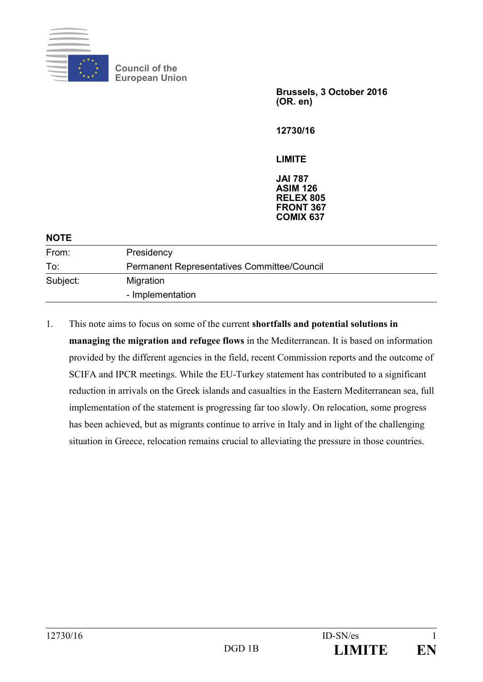

**Council of the European Union** 

> **Brussels, 3 October 2016 (OR. en)**

**12730/16** 

**LIMITE** 

**JAI 787 ASIM 126 RELEX 805 FRONT 367 COMIX 637** 

| <b>NOTE</b> |                                             |
|-------------|---------------------------------------------|
| From:       | Presidency                                  |
| To:         | Permanent Representatives Committee/Council |
| Subject:    | Migration<br>- Implementation               |

1. This note aims to focus on some of the current **shortfalls and potential solutions in managing the migration and refugee flows** in the Mediterranean. It is based on information provided by the different agencies in the field, recent Commission reports and the outcome of SCIFA and IPCR meetings. While the EU-Turkey statement has contributed to a significant reduction in arrivals on the Greek islands and casualties in the Eastern Mediterranean sea, full implementation of the statement is progressing far too slowly. On relocation, some progress has been achieved, but as migrants continue to arrive in Italy and in light of the challenging situation in Greece, relocation remains crucial to alleviating the pressure in those countries.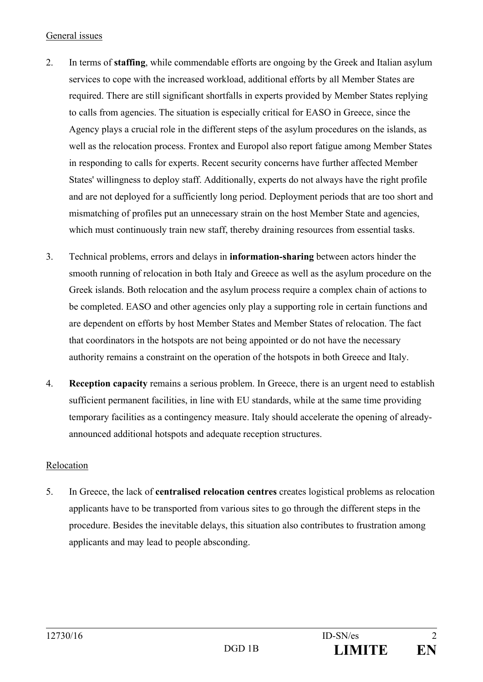## General issues

- 2. In terms of **staffing**, while commendable efforts are ongoing by the Greek and Italian asylum services to cope with the increased workload, additional efforts by all Member States are required. There are still significant shortfalls in experts provided by Member States replying to calls from agencies. The situation is especially critical for EASO in Greece, since the Agency plays a crucial role in the different steps of the asylum procedures on the islands, as well as the relocation process. Frontex and Europol also report fatigue among Member States in responding to calls for experts. Recent security concerns have further affected Member States' willingness to deploy staff. Additionally, experts do not always have the right profile and are not deployed for a sufficiently long period. Deployment periods that are too short and mismatching of profiles put an unnecessary strain on the host Member State and agencies, which must continuously train new staff, thereby draining resources from essential tasks.
- 3. Technical problems, errors and delays in **information-sharing** between actors hinder the smooth running of relocation in both Italy and Greece as well as the asylum procedure on the Greek islands. Both relocation and the asylum process require a complex chain of actions to be completed. EASO and other agencies only play a supporting role in certain functions and are dependent on efforts by host Member States and Member States of relocation. The fact that coordinators in the hotspots are not being appointed or do not have the necessary authority remains a constraint on the operation of the hotspots in both Greece and Italy.
- 4. **Reception capacity** remains a serious problem. In Greece, there is an urgent need to establish sufficient permanent facilities, in line with EU standards, while at the same time providing temporary facilities as a contingency measure. Italy should accelerate the opening of alreadyannounced additional hotspots and adequate reception structures.

## Relocation

5. In Greece, the lack of **centralised relocation centres** creates logistical problems as relocation applicants have to be transported from various sites to go through the different steps in the procedure. Besides the inevitable delays, this situation also contributes to frustration among applicants and may lead to people absconding.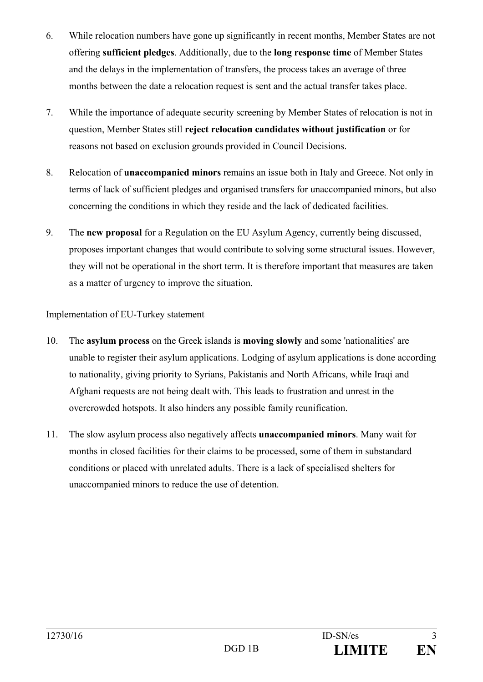- 6. While relocation numbers have gone up significantly in recent months, Member States are not offering **sufficient pledges**. Additionally, due to the **long response time** of Member States and the delays in the implementation of transfers, the process takes an average of three months between the date a relocation request is sent and the actual transfer takes place.
- 7. While the importance of adequate security screening by Member States of relocation is not in question, Member States still **reject relocation candidates without justification** or for reasons not based on exclusion grounds provided in Council Decisions.
- 8. Relocation of **unaccompanied minors** remains an issue both in Italy and Greece. Not only in terms of lack of sufficient pledges and organised transfers for unaccompanied minors, but also concerning the conditions in which they reside and the lack of dedicated facilities.
- 9. The **new proposal** for a Regulation on the EU Asylum Agency, currently being discussed, proposes important changes that would contribute to solving some structural issues. However, they will not be operational in the short term. It is therefore important that measures are taken as a matter of urgency to improve the situation.

## Implementation of EU-Turkey statement

- 10. The **asylum process** on the Greek islands is **moving slowly** and some 'nationalities' are unable to register their asylum applications. Lodging of asylum applications is done according to nationality, giving priority to Syrians, Pakistanis and North Africans, while Iraqi and Afghani requests are not being dealt with. This leads to frustration and unrest in the overcrowded hotspots. It also hinders any possible family reunification.
- 11. The slow asylum process also negatively affects **unaccompanied minors**. Many wait for months in closed facilities for their claims to be processed, some of them in substandard conditions or placed with unrelated adults. There is a lack of specialised shelters for unaccompanied minors to reduce the use of detention.